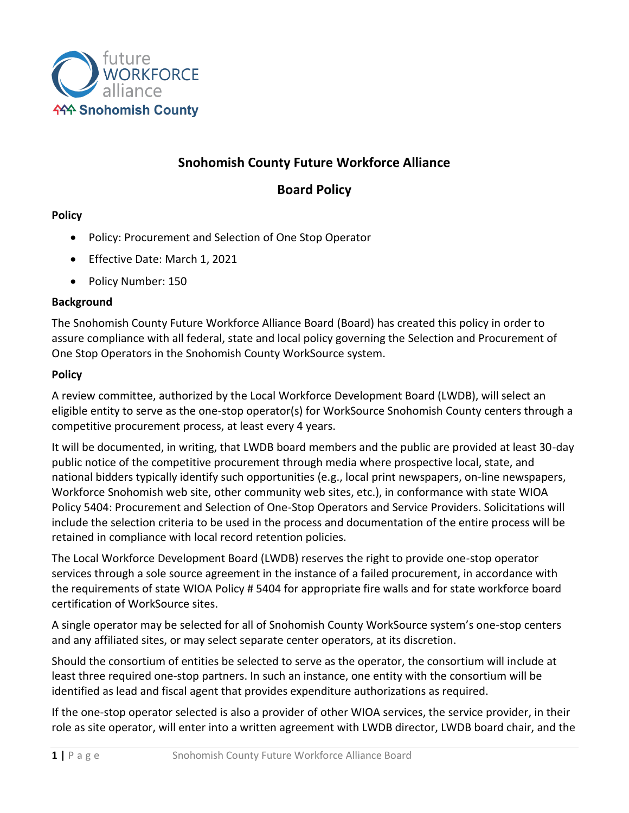

# **Snohomish County Future Workforce Alliance**

## **Board Policy**

### **Policy**

- Policy: Procurement and Selection of One Stop Operator
- Effective Date: March 1, 2021
- Policy Number: 150

### **Background**

The Snohomish County Future Workforce Alliance Board (Board) has created this policy in order to assure compliance with all federal, state and local policy governing the Selection and Procurement of One Stop Operators in the Snohomish County WorkSource system.

### **Policy**

A review committee, authorized by the Local Workforce Development Board (LWDB), will select an eligible entity to serve as the one-stop operator(s) for WorkSource Snohomish County centers through a competitive procurement process, at least every 4 years.

It will be documented, in writing, that LWDB board members and the public are provided at least 30-day public notice of the competitive procurement through media where prospective local, state, and national bidders typically identify such opportunities (e.g., local print newspapers, on-line newspapers, Workforce Snohomish web site, other community web sites, etc.), in conformance with state WIOA Policy 5404: Procurement and Selection of One-Stop Operators and Service Providers. Solicitations will include the selection criteria to be used in the process and documentation of the entire process will be retained in compliance with local record retention policies.

The Local Workforce Development Board (LWDB) reserves the right to provide one-stop operator services through a sole source agreement in the instance of a failed procurement, in accordance with the requirements of state WIOA Policy # 5404 for appropriate fire walls and for state workforce board certification of WorkSource sites.

A single operator may be selected for all of Snohomish County WorkSource system's one-stop centers and any affiliated sites, or may select separate center operators, at its discretion.

Should the consortium of entities be selected to serve as the operator, the consortium will include at least three required one-stop partners. In such an instance, one entity with the consortium will be identified as lead and fiscal agent that provides expenditure authorizations as required.

If the one-stop operator selected is also a provider of other WIOA services, the service provider, in their role as site operator, will enter into a written agreement with LWDB director, LWDB board chair, and the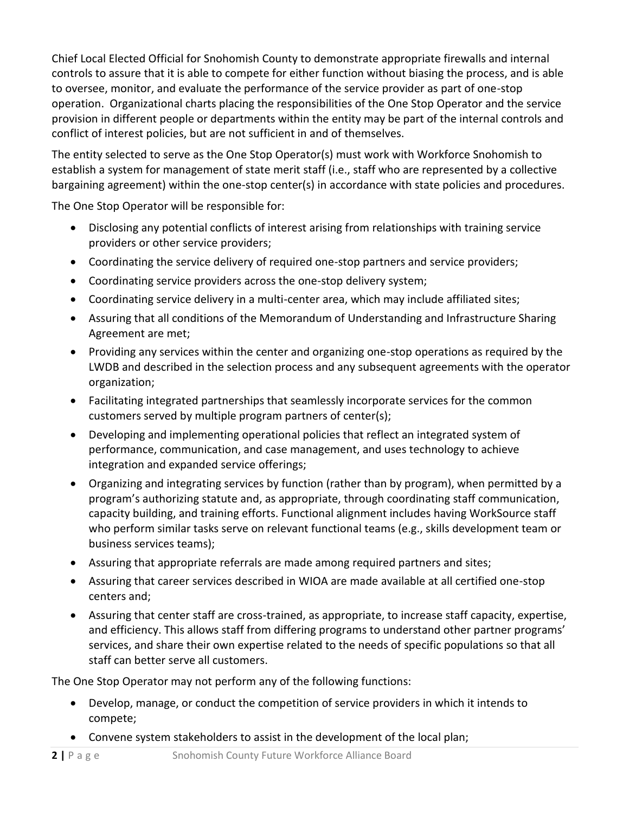Chief Local Elected Official for Snohomish County to demonstrate appropriate firewalls and internal controls to assure that it is able to compete for either function without biasing the process, and is able to oversee, monitor, and evaluate the performance of the service provider as part of one-stop operation. Organizational charts placing the responsibilities of the One Stop Operator and the service provision in different people or departments within the entity may be part of the internal controls and conflict of interest policies, but are not sufficient in and of themselves.

The entity selected to serve as the One Stop Operator(s) must work with Workforce Snohomish to establish a system for management of state merit staff (i.e., staff who are represented by a collective bargaining agreement) within the one-stop center(s) in accordance with state policies and procedures.

The One Stop Operator will be responsible for:

- Disclosing any potential conflicts of interest arising from relationships with training service providers or other service providers;
- Coordinating the service delivery of required one-stop partners and service providers;
- Coordinating service providers across the one-stop delivery system;
- Coordinating service delivery in a multi-center area, which may include affiliated sites;
- Assuring that all conditions of the Memorandum of Understanding and Infrastructure Sharing Agreement are met;
- Providing any services within the center and organizing one-stop operations as required by the LWDB and described in the selection process and any subsequent agreements with the operator organization;
- Facilitating integrated partnerships that seamlessly incorporate services for the common customers served by multiple program partners of center(s);
- Developing and implementing operational policies that reflect an integrated system of performance, communication, and case management, and uses technology to achieve integration and expanded service offerings;
- Organizing and integrating services by function (rather than by program), when permitted by a program's authorizing statute and, as appropriate, through coordinating staff communication, capacity building, and training efforts. Functional alignment includes having WorkSource staff who perform similar tasks serve on relevant functional teams (e.g., skills development team or business services teams);
- Assuring that appropriate referrals are made among required partners and sites;
- Assuring that career services described in WIOA are made available at all certified one-stop centers and;
- Assuring that center staff are cross-trained, as appropriate, to increase staff capacity, expertise, and efficiency. This allows staff from differing programs to understand other partner programs' services, and share their own expertise related to the needs of specific populations so that all staff can better serve all customers.

The One Stop Operator may not perform any of the following functions:

- Develop, manage, or conduct the competition of service providers in which it intends to compete;
- Convene system stakeholders to assist in the development of the local plan;